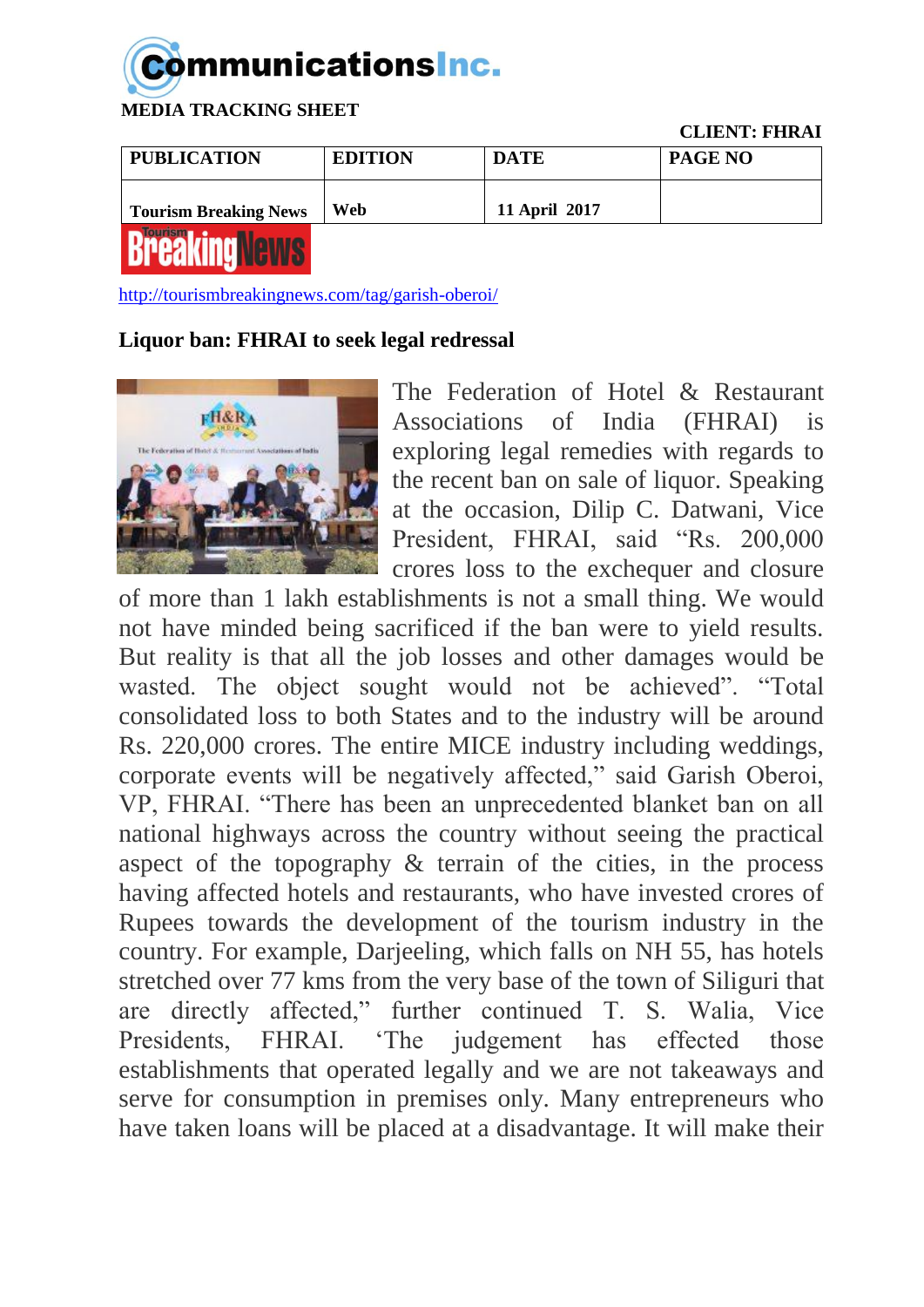## **Communications Inc.**

 **MEDIA TRACKING SHEET**

 **CLIENT: FHRAI**

| <b>PUBLICATION</b>           | <b>EDITION</b> | <b>DATE</b>   | <b>PAGE NO</b> |
|------------------------------|----------------|---------------|----------------|
| <b>Tourism Breaking News</b> | Web            | 11 April 2017 |                |
| <b>DRAAI/IRAILAIRIA</b>      |                |               |                |

**BLESKING ARMS** 

<http://tourismbreakingnews.com/tag/garish-oberoi/>

## **Liquor ban: FHRAI to seek legal redressal**



The Federation of Hotel & Restaurant Associations of India (FHRAI) is exploring legal remedies with regards to the recent ban on sale of liquor. Speaking at the occasion, Dilip C. Datwani, Vice President, FHRAI, said "Rs. 200,000 crores loss to the exchequer and closure

of more than 1 lakh establishments is not a small thing. We would not have minded being sacrificed if the ban were to yield results. But reality is that all the job losses and other damages would be wasted. The object sought would not be achieved". "Total consolidated loss to both States and to the industry will be around Rs. 220,000 crores. The entire MICE industry including weddings, corporate events will be negatively affected," said Garish Oberoi, VP, FHRAI. "There has been an unprecedented blanket ban on all national highways across the country without seeing the practical aspect of the topography & terrain of the cities, in the process having affected hotels and restaurants, who have invested crores of Rupees towards the development of the tourism industry in the country. For example, Darjeeling, which falls on NH 55, has hotels stretched over 77 kms from the very base of the town of Siliguri that are directly affected," further continued T. S. Walia, Vice Presidents, FHRAI. 'The judgement has effected those establishments that operated legally and we are not takeaways and serve for consumption in premises only. Many entrepreneurs who have taken loans will be placed at a disadvantage. It will make their